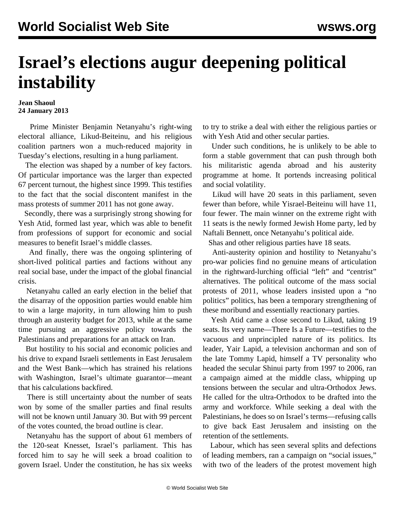## **Israel's elections augur deepening political instability**

## **Jean Shaoul 24 January 2013**

 Prime Minister Benjamin Netanyahu's right-wing electoral alliance, Likud-Beiteinu, and his religious coalition partners won a much-reduced majority in Tuesday's elections, resulting in a hung parliament.

 The election was shaped by a number of key factors. Of particular importance was the larger than expected 67 percent turnout, the highest since 1999. This testifies to the fact that the social discontent manifest in the mass protests of summer 2011 has not gone away.

 Secondly, there was a surprisingly strong showing for Yesh Atid, formed last year, which was able to benefit from professions of support for economic and social measures to benefit Israel's middle classes.

 And finally, there was the ongoing splintering of short-lived political parties and factions without any real social base, under the impact of the global financial crisis.

 Netanyahu called an early election in the belief that the disarray of the opposition parties would enable him to win a large majority, in turn allowing him to push through an austerity budget for 2013, while at the same time pursuing an aggressive policy towards the Palestinians and preparations for an attack on Iran.

 But hostility to his social and economic policies and his drive to expand Israeli settlements in East Jerusalem and the West Bank—which has strained his relations with Washington, Israel's ultimate guarantor—meant that his calculations backfired.

 There is still uncertainty about the number of seats won by some of the smaller parties and final results will not be known until January 30. But with 99 percent of the votes counted, the broad outline is clear.

 Netanyahu has the support of about 61 members of the 120-seat Knesset, Israel's parliament. This has forced him to say he will seek a broad coalition to govern Israel. Under the constitution, he has six weeks

to try to strike a deal with either the religious parties or with Yesh Atid and other secular parties.

 Under such conditions, he is unlikely to be able to form a stable government that can push through both his militaristic agenda abroad and his austerity programme at home. It portends increasing political and social volatility.

 Likud will have 20 seats in this parliament, seven fewer than before, while Yisrael-Beiteinu will have 11, four fewer. The main winner on the extreme right with 11 seats is the newly formed Jewish Home party, led by Naftali Bennett, once Netanyahu's political aide.

Shas and other religious parties have 18 seats.

 Anti-austerity opinion and hostility to Netanyahu's pro-war policies find no genuine means of articulation in the rightward-lurching official "left" and "centrist" alternatives. The political outcome of the mass social protests of 2011, whose leaders insisted upon a "no politics" politics, has been a temporary strengthening of these moribund and essentially reactionary parties.

 Yesh Atid came a close second to Likud, taking 19 seats. Its very name—There Is a Future—testifies to the vacuous and unprincipled nature of its politics. Its leader, Yair Lapid, a television anchorman and son of the late Tommy Lapid, himself a TV personality who headed the secular Shinui party from 1997 to 2006, ran a campaign aimed at the middle class, whipping up tensions between the secular and ultra-Orthodox Jews. He called for the ultra-Orthodox to be drafted into the army and workforce. While seeking a deal with the Palestinians, he does so on Israel's terms—refusing calls to give back East Jerusalem and insisting on the retention of the settlements.

 Labour, which has seen several splits and defections of leading members, ran a campaign on "social issues," with two of the leaders of the protest movement high